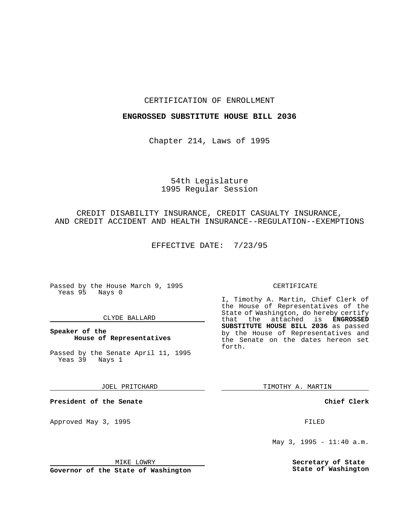### CERTIFICATION OF ENROLLMENT

## **ENGROSSED SUBSTITUTE HOUSE BILL 2036**

Chapter 214, Laws of 1995

## 54th Legislature 1995 Regular Session

### CREDIT DISABILITY INSURANCE, CREDIT CASUALTY INSURANCE, AND CREDIT ACCIDENT AND HEALTH INSURANCE--REGULATION--EXEMPTIONS

EFFECTIVE DATE: 7/23/95

Passed by the House March 9, 1995 Yeas 95 Nays 0

#### CLYDE BALLARD

## **Speaker of the House of Representatives**

Passed by the Senate April 11, 1995 Yeas 39 Nays 1

JOEL PRITCHARD

**President of the Senate**

Approved May 3, 1995 **FILED** 

#### MIKE LOWRY

**Governor of the State of Washington**

#### CERTIFICATE

I, Timothy A. Martin, Chief Clerk of the House of Representatives of the State of Washington, do hereby certify<br>that the attached is **ENGROSSED** the attached is **ENGROSSED SUBSTITUTE HOUSE BILL 2036** as passed by the House of Representatives and the Senate on the dates hereon set forth.

TIMOTHY A. MARTIN

**Chief Clerk**

May 3, 1995 - 11:40 a.m.

**Secretary of State State of Washington**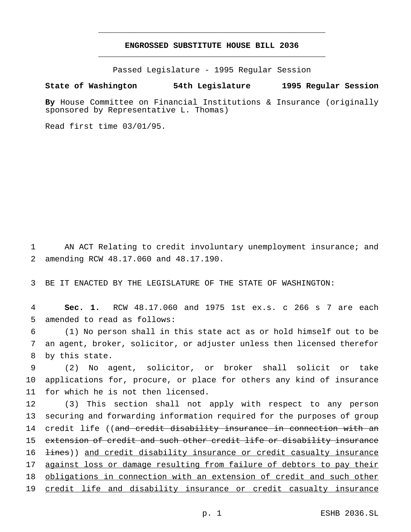# **ENGROSSED SUBSTITUTE HOUSE BILL 2036** \_\_\_\_\_\_\_\_\_\_\_\_\_\_\_\_\_\_\_\_\_\_\_\_\_\_\_\_\_\_\_\_\_\_\_\_\_\_\_\_\_\_\_\_\_\_\_

\_\_\_\_\_\_\_\_\_\_\_\_\_\_\_\_\_\_\_\_\_\_\_\_\_\_\_\_\_\_\_\_\_\_\_\_\_\_\_\_\_\_\_\_\_\_\_

Passed Legislature - 1995 Regular Session

#### **State of Washington 54th Legislature 1995 Regular Session**

**By** House Committee on Financial Institutions & Insurance (originally sponsored by Representative L. Thomas)

Read first time 03/01/95.

1 AN ACT Relating to credit involuntary unemployment insurance; and 2 amending RCW 48.17.060 and 48.17.190.

3 BE IT ENACTED BY THE LEGISLATURE OF THE STATE OF WASHINGTON:

4 **Sec. 1.** RCW 48.17.060 and 1975 1st ex.s. c 266 s 7 are each 5 amended to read as follows:

6 (1) No person shall in this state act as or hold himself out to be 7 an agent, broker, solicitor, or adjuster unless then licensed therefor 8 by this state.

9 (2) No agent, solicitor, or broker shall solicit or take 10 applications for, procure, or place for others any kind of insurance 11 for which he is not then licensed.

 (3) This section shall not apply with respect to any person securing and forwarding information required for the purposes of group 14 credit life ((and credit disability insurance in connection with an extension of credit and such other credit life or disability insurance 16 <del>lines</del>)) and credit disability insurance or credit casualty insurance 17 against loss or damage resulting from failure of debtors to pay their obligations in connection with an extension of credit and such other credit life and disability insurance or credit casualty insurance